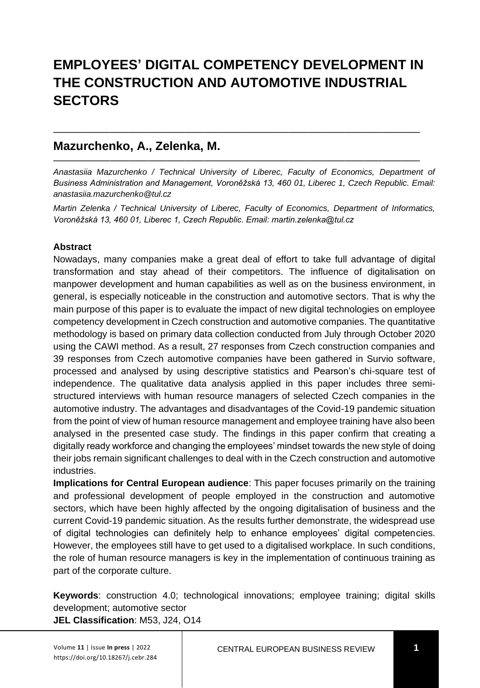# **EMPLOYEES' DIGITAL COMPETENCY DEVELOPMENT IN THE CONSTRUCTION AND AUTOMOTIVE INDUSTRIAL SECTORS**

———————————————————————————————————————

———————————————————————————————————————

### **Mazurchenko, A., Zelenka, M.**

*Anastasiia Mazurchenko / Technical University of Liberec, Faculty of Economics, Department of Business Administration and Management, Voroněžská 13, 460 01, Liberec 1, Czech Republic. Email: anastasiia.mazurchenko@tul.cz*

*Martin Zelenka / Technical University of Liberec, Faculty of Economics, Department of Informatics, Voroněžská 13, 460 01, Liberec 1, Czech Republic. Email: martin.zelenka@tul.cz*

#### **Abstract**

Nowadays, many companies make a great deal of effort to take full advantage of digital transformation and stay ahead of their competitors. The influence of digitalisation on manpower development and human capabilities as well as on the business environment, in general, is especially noticeable in the construction and automotive sectors. That is why the main purpose of this paper is to evaluate the impact of new digital technologies on employee competency development in Czech construction and automotive companies. The quantitative methodology is based on primary data collection conducted from July through October 2020 using the CAWI method. As a result, 27 responses from Czech construction companies and 39 responses from Czech automotive companies have been gathered in Survio software, processed and analysed by using descriptive statistics and Pearson's chi-square test of independence. The qualitative data analysis applied in this paper includes three semistructured interviews with human resource managers of selected Czech companies in the automotive industry. The advantages and disadvantages of the Covid-19 pandemic situation from the point of view of human resource management and employee training have also been analysed in the presented case study. The findings in this paper confirm that creating a digitally ready workforce and changing the employees' mindset towards the new style of doing their jobs remain significant challenges to deal with in the Czech construction and automotive industries.

**Implications for Central European audience**: This paper focuses primarily on the training and professional development of people employed in the construction and automotive sectors, which have been highly affected by the ongoing digitalisation of business and the current Covid-19 pandemic situation. As the results further demonstrate, the widespread use of digital technologies can definitely help to enhance employees' digital competencies. However, the employees still have to get used to a digitalised workplace. In such conditions, the role of human resource managers is key in the implementation of continuous training as part of the corporate culture.

**Keywords**: construction 4.0; technological innovations; employee training; digital skills development; automotive sector

**JEL Classification**: M53, J24, O14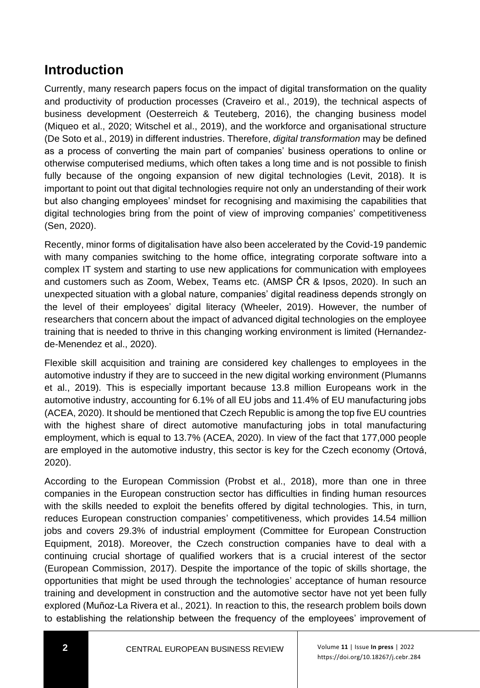## **Introduction**

Currently, many research papers focus on the impact of digital transformation on the quality and productivity of production processes (Craveiro et al., 2019), the technical aspects of business development (Oesterreich & Teuteberg, 2016), the changing business model (Miqueo et al., 2020; Witschel et al., 2019), and the workforce and organisational structure (De Soto et al., 2019) in different industries. Therefore, *digital transformation* may be defined as a process of converting the main part of companies' business operations to online or otherwise computerised mediums, which often takes a long time and is not possible to finish fully because of the ongoing expansion of new digital technologies (Levit, 2018). It is important to point out that digital technologies require not only an understanding of their work but also changing employees' mindset for recognising and maximising the capabilities that digital technologies bring from the point of view of improving companies' competitiveness (Sen, 2020).

Recently, minor forms of digitalisation have also been accelerated by the Covid-19 pandemic with many companies switching to the home office, integrating corporate software into a complex IT system and starting to use new applications for communication with employees and customers such as Zoom, Webex, Teams etc. (AMSP ČR & Ipsos, 2020). In such an unexpected situation with a global nature, companies' digital readiness depends strongly on the level of their employees' digital literacy (Wheeler, 2019). However, the number of researchers that concern about the impact of advanced digital technologies on the employee training that is needed to thrive in this changing working environment is limited (Hernandezde-Menendez et al., 2020).

Flexible skill acquisition and training are considered key challenges to employees in the automotive industry if they are to succeed in the new digital working environment (Plumanns et al., 2019). This is especially important because 13.8 million Europeans work in the automotive industry, accounting for 6.1% of all EU jobs and 11.4% of EU manufacturing jobs (ACEA, 2020). It should be mentioned that Czech Republic is among the top five EU countries with the highest share of direct automotive manufacturing jobs in total manufacturing employment, which is equal to 13.7% (ACEA, 2020). In view of the fact that 177,000 people are employed in the automotive industry, this sector is key for the Czech economy (Ortová, 2020).

According to the European Commission (Probst et al., 2018), more than one in three companies in the European construction sector has difficulties in finding human resources with the skills needed to exploit the benefits offered by digital technologies. This, in turn, reduces European construction companies' competitiveness, which provides 14.54 million jobs and covers 29.3% of industrial employment (Committee for European Construction Equipment, 2018). Moreover, the Czech construction companies have to deal with a continuing crucial shortage of qualified workers that is a crucial interest of the sector (European Commission, 2017). Despite the importance of the topic of skills shortage, the opportunities that might be used through the technologies' acceptance of human resource training and development in construction and the automotive sector have not yet been fully explored (Muñoz-La Rivera et al., 2021). In reaction to this, the research problem boils down to establishing the relationship between the frequency of the employees' improvement of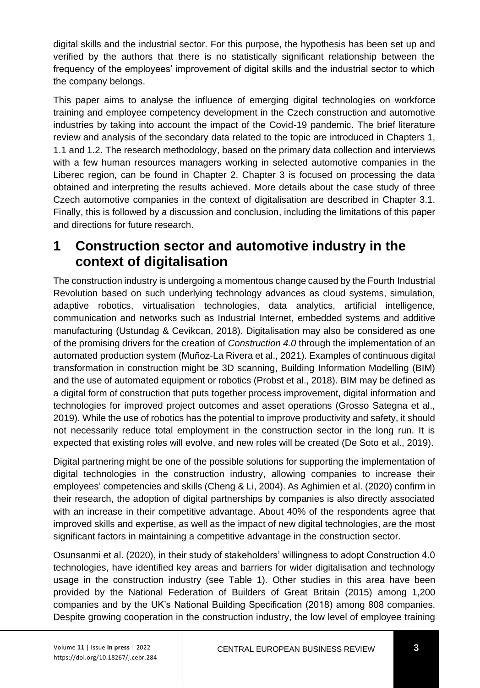digital skills and the industrial sector. For this purpose, the hypothesis has been set up and verified by the authors that there is no statistically significant relationship between the frequency of the employees' improvement of digital skills and the industrial sector to which the company belongs.

This paper aims to analyse the influence of emerging digital technologies on workforce training and employee competency development in the Czech construction and automotive industries by taking into account the impact of the Covid-19 pandemic. The brief literature review and analysis of the secondary data related to the topic are introduced in Chapters 1, 1.1 and 1.2. The research methodology, based on the primary data collection and interviews with a few human resources managers working in selected automotive companies in the Liberec region, can be found in Chapter 2. Chapter 3 is focused on processing the data obtained and interpreting the results achieved. More details about the case study of three Czech automotive companies in the context of digitalisation are described in Chapter 3.1. Finally, this is followed by a discussion and conclusion, including the limitations of this paper and directions for future research.

### **1 Construction sector and automotive industry in the context of digitalisation**

The construction industry is undergoing a momentous change caused by the Fourth Industrial Revolution based on such underlying technology advances as cloud systems, simulation, adaptive robotics, virtualisation technologies, data analytics, artificial intelligence, communication and networks such as Industrial Internet, embedded systems and additive manufacturing (Ustundag & Cevikcan, 2018). Digitalisation may also be considered as one of the promising drivers for the creation of *Construction 4.0* through the implementation of an automated production system (Muñoz-La Rivera et al., 2021). Examples of continuous digital transformation in construction might be 3D scanning, Building Information Modelling (BIM) and the use of automated equipment or robotics (Probst et al., 2018). BIM may be defined as a digital form of construction that puts together process improvement, digital information and technologies for improved project outcomes and asset operations (Grosso Sategna et al., 2019). While the use of robotics has the potential to improve productivity and safety, it should not necessarily reduce total employment in the construction sector in the long run. It is expected that existing roles will evolve, and new roles will be created (De Soto et al., 2019).

Digital partnering might be one of the possible solutions for supporting the implementation of digital technologies in the construction industry, allowing companies to increase their employees' competencies and skills (Cheng & Li, 2004). As Aghimien et al. (2020) confirm in their research, the adoption of digital partnerships by companies is also directly associated with an increase in their competitive advantage. About 40% of the respondents agree that improved skills and expertise, as well as the impact of new digital technologies, are the most significant factors in maintaining a competitive advantage in the construction sector.

Osunsanmi et al. (2020), in their study of stakeholders' willingness to adopt Construction 4.0 technologies, have identified key areas and barriers for wider digitalisation and technology usage in the construction industry (see Table 1). Other studies in this area have been provided by the National Federation of Builders of Great Britain (2015) among 1,200 companies and by the UK's National Building Specification (2018) among 808 companies. Despite growing cooperation in the construction industry, the low level of employee training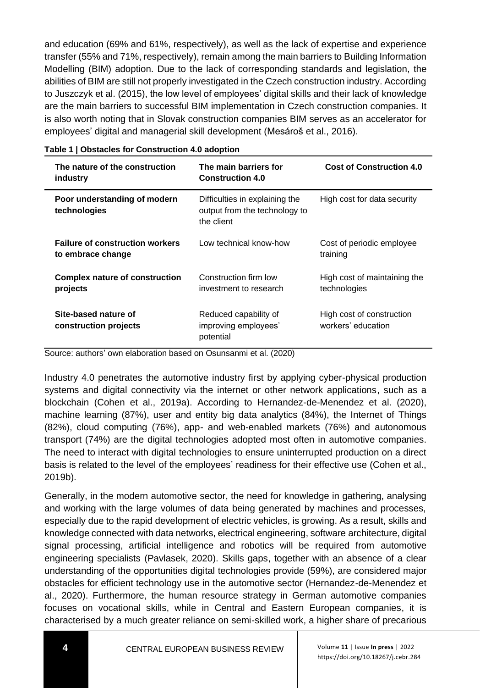and education (69% and 61%, respectively), as well as the lack of expertise and experience transfer (55% and 71%, respectively), remain among the main barriers to Building Information Modelling (BIM) adoption. Due to the lack of corresponding standards and legislation, the abilities of BIM are still not properly investigated in the Czech construction industry. According to Juszczyk et al. (2015), the low level of employees' digital skills and their lack of knowledge are the main barriers to successful BIM implementation in Czech construction companies. It is also worth noting that in Slovak construction companies BIM serves as an accelerator for employees' digital and managerial skill development (Mesároš et al., 2016).

| The nature of the construction<br>industry                  | The main barriers for<br><b>Construction 4.0</b>                              | <b>Cost of Construction 4.0</b>                 |
|-------------------------------------------------------------|-------------------------------------------------------------------------------|-------------------------------------------------|
| Poor understanding of modern<br>technologies                | Difficulties in explaining the<br>output from the technology to<br>the client | High cost for data security                     |
| <b>Failure of construction workers</b><br>to embrace change | Low technical know-how                                                        | Cost of periodic employee<br>training           |
| <b>Complex nature of construction</b><br>projects           | Construction firm low<br>investment to research                               | High cost of maintaining the<br>technologies    |
| Site-based nature of<br>construction projects               | Reduced capability of<br>improving employees'<br>potential                    | High cost of construction<br>workers' education |

#### **Table 1 | Obstacles for Construction 4.0 adoption**

Source: authors' own elaboration based on Osunsanmi et al. (2020)

Industry 4.0 penetrates the automotive industry first by applying cyber-physical production systems and digital connectivity via the internet or other network applications, such as a blockchain (Cohen et al., 2019a). According to Hernandez-de-Menendez et al. (2020), machine learning (87%), user and entity big data analytics (84%), the Internet of Things (82%), cloud computing (76%), app- and web-enabled markets (76%) and autonomous transport (74%) are the digital technologies adopted most often in automotive companies. The need to interact with digital technologies to ensure uninterrupted production on a direct basis is related to the level of the employees' readiness for their effective use (Cohen et al., 2019b).

Generally, in the modern automotive sector, the need for knowledge in gathering, analysing and working with the large volumes of data being generated by machines and processes, especially due to the rapid development of electric vehicles, is growing. As a result, skills and knowledge connected with data networks, electrical engineering, software architecture, digital signal processing, artificial intelligence and robotics will be required from automotive engineering specialists (Pavlasek, 2020). Skills gaps, together with an absence of a clear understanding of the opportunities digital technologies provide (59%), are considered major obstacles for efficient technology use in the automotive sector (Hernandez-de-Menendez et al., 2020). Furthermore, the human resource strategy in German automotive companies focuses on vocational skills, while in Central and Eastern European companies, it is characterised by a much greater reliance on semi-skilled work, a higher share of precarious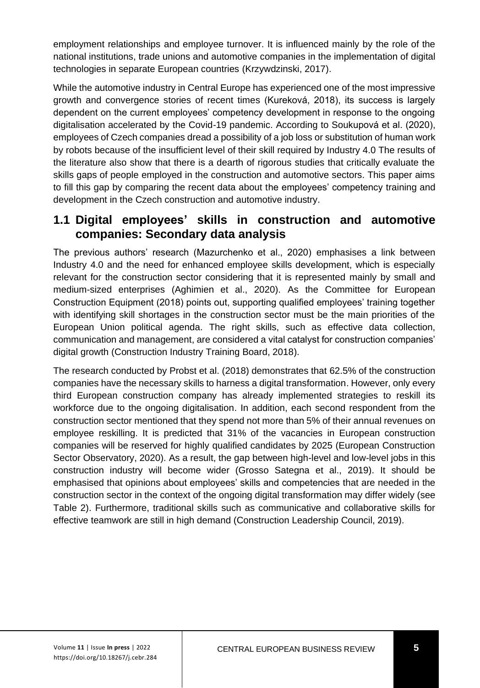employment relationships and employee turnover. It is influenced mainly by the role of the national institutions, trade unions and automotive companies in the implementation of digital technologies in separate European countries (Krzywdzinski, 2017).

While the automotive industry in Central Europe has experienced one of the most impressive growth and convergence stories of recent times (Kureková, 2018), its success is largely dependent on the current employees' competency development in response to the ongoing digitalisation accelerated by the Covid-19 pandemic. According to Soukupová et al. (2020), employees of Czech companies dread a possibility of a job loss or substitution of human work by robots because of the insufficient level of their skill required by Industry 4.0 The results of the literature also show that there is a dearth of rigorous studies that critically evaluate the skills gaps of people employed in the construction and automotive sectors. This paper aims to fill this gap by comparing the recent data about the employees' competency training and development in the Czech construction and automotive industry.

### **1.1 Digital employees' skills in construction and automotive companies: Secondary data analysis**

The previous authors' research (Mazurchenko et al., 2020) emphasises a link between Industry 4.0 and the need for enhanced employee skills development, which is especially relevant for the construction sector considering that it is represented mainly by small and medium-sized enterprises (Aghimien et al., 2020). As the Committee for European Construction Equipment (2018) points out, supporting qualified employees' training together with identifying skill shortages in the construction sector must be the main priorities of the European Union political agenda. The right skills, such as effective data collection, communication and management, are considered a vital catalyst for construction companies' digital growth (Construction Industry Training Board, 2018).

The research conducted by Probst et al. (2018) demonstrates that 62.5% of the construction companies have the necessary skills to harness a digital transformation. However, only every third European construction company has already implemented strategies to reskill its workforce due to the ongoing digitalisation. In addition, each second respondent from the construction sector mentioned that they spend not more than 5% of their annual revenues on employee reskilling. It is predicted that 31% of the vacancies in European construction companies will be reserved for highly qualified candidates by 2025 (European Construction Sector Observatory, 2020). As a result, the gap between high-level and low-level jobs in this construction industry will become wider (Grosso Sategna et al., 2019). It should be emphasised that opinions about employees' skills and competencies that are needed in the construction sector in the context of the ongoing digital transformation may differ widely (see Table 2). Furthermore, traditional skills such as communicative and collaborative skills for effective teamwork are still in high demand (Construction Leadership Council, 2019).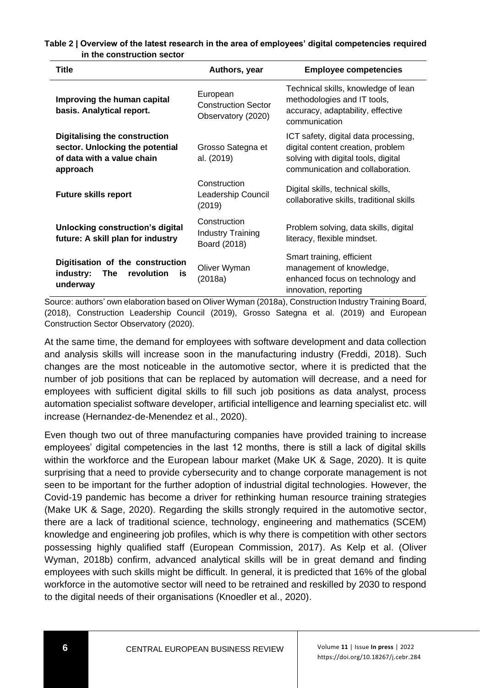**Table 2 | Overview of the latest research in the area of employees' digital competencies required in the construction sector**

| <b>Title</b>                                                                                               | Authors, year                                                | <b>Employee competencies</b>                                                                                                                         |
|------------------------------------------------------------------------------------------------------------|--------------------------------------------------------------|------------------------------------------------------------------------------------------------------------------------------------------------------|
| Improving the human capital<br>basis. Analytical report.                                                   | European<br><b>Construction Sector</b><br>Observatory (2020) | Technical skills, knowledge of lean<br>methodologies and IT tools,<br>accuracy, adaptability, effective<br>communication                             |
| Digitalising the construction<br>sector. Unlocking the potential<br>of data with a value chain<br>approach | Grosso Sategna et<br>al. (2019)                              | ICT safety, digital data processing,<br>digital content creation, problem<br>solving with digital tools, digital<br>communication and collaboration. |
| <b>Future skills report</b>                                                                                | Construction<br>Leadership Council<br>(2019)                 | Digital skills, technical skills,<br>collaborative skills, traditional skills                                                                        |
| Unlocking construction's digital<br>future: A skill plan for industry                                      | Construction<br><b>Industry Training</b><br>Board (2018)     | Problem solving, data skills, digital<br>literacy, flexible mindset.                                                                                 |
| Digitisation of the construction<br>revolution<br>industry:<br>The<br>is<br>underway                       | Oliver Wyman<br>(2018a)                                      | Smart training, efficient<br>management of knowledge,<br>enhanced focus on technology and<br>innovation, reporting                                   |

Source: authors' own elaboration based on Oliver Wyman (2018a), Construction Industry Training Board, (2018), Construction Leadership Council (2019), Grosso Sategna et al. (2019) and European Construction Sector Observatory (2020).

At the same time, the demand for employees with software development and data collection and analysis skills will increase soon in the manufacturing industry (Freddi, 2018). Such changes are the most noticeable in the automotive sector, where it is predicted that the number of job positions that can be replaced by automation will decrease, and a need for employees with sufficient digital skills to fill such job positions as data analyst, process automation specialist software developer, artificial intelligence and learning specialist etc. will increase (Hernandez-de-Menendez et al., 2020).

Even though two out of three manufacturing companies have provided training to increase employees' digital competencies in the last 12 months, there is still a lack of digital skills within the workforce and the European labour market (Make UK & Sage, 2020). It is quite surprising that a need to provide cybersecurity and to change corporate management is not seen to be important for the further adoption of industrial digital technologies. However, the Covid-19 pandemic has become a driver for rethinking human resource training strategies (Make UK & Sage, 2020). Regarding the skills strongly required in the automotive sector, there are a lack of traditional science, technology, engineering and mathematics (SCEM) knowledge and engineering job profiles, which is why there is competition with other sectors possessing highly qualified staff (European Commission, 2017). As Kelp et al. (Oliver Wyman, 2018b) confirm, advanced analytical skills will be in great demand and finding employees with such skills might be difficult. In general, it is predicted that 16% of the global workforce in the automotive sector will need to be retrained and reskilled by 2030 to respond to the digital needs of their organisations (Knoedler et al., 2020).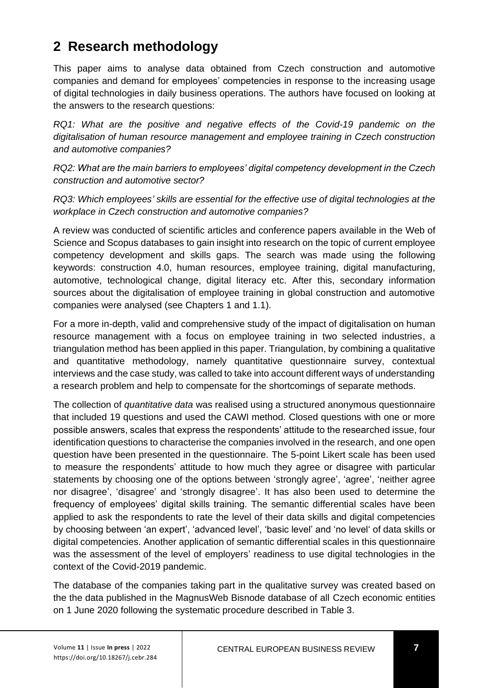## **2 Research methodology**

This paper aims to analyse data obtained from Czech construction and automotive companies and demand for employees' competencies in response to the increasing usage of digital technologies in daily business operations. The authors have focused on looking at the answers to the research questions:

*RQ1: What are the positive and negative effects of the Covid-19 pandemic on the digitalisation of human resource management and employee training in Czech construction and automotive companies?*

*RQ2: What are the main barriers to employees' digital competency development in the Czech construction and automotive sector?*

*RQ3: Which employees' skills are essential for the effective use of digital technologies at the workplace in Czech construction and automotive companies?*

A review was conducted of scientific articles and conference papers available in the Web of Science and Scopus databases to gain insight into research on the topic of current employee competency development and skills gaps. The search was made using the following keywords: construction 4.0, human resources, employee training, digital manufacturing, automotive, technological change, digital literacy etc. After this, secondary information sources about the digitalisation of employee training in global construction and automotive companies were analysed (see Chapters 1 and 1.1).

For a more in-depth, valid and comprehensive study of the impact of digitalisation on human resource management with a focus on employee training in two selected industries, a triangulation method has been applied in this paper. Triangulation, by combining a qualitative and quantitative methodology, namely quantitative questionnaire survey, contextual interviews and the case study, was called to take into account different ways of understanding a research problem and help to compensate for the shortcomings of separate methods.

The collection of *quantitative data* was realised using a structured anonymous questionnaire that included 19 questions and used the CAWI method. Closed questions with one or more possible answers, scales that express the respondents' attitude to the researched issue, four identification questions to characterise the companies involved in the research, and one open question have been presented in the questionnaire. The 5-point Likert scale has been used to measure the respondents' attitude to how much they agree or disagree with particular statements by choosing one of the options between 'strongly agree', 'agree', 'neither agree nor disagree', 'disagree' and 'strongly disagree'. It has also been used to determine the frequency of employees' digital skills training. The semantic differential scales have been applied to ask the respondents to rate the level of their data skills and digital competencies by choosing between 'an expert', 'advanced level', 'basic level' and 'no level' of data skills or digital competencies. Another application of semantic differential scales in this questionnaire was the assessment of the level of employers' readiness to use digital technologies in the context of the Covid-2019 pandemic.

The database of the companies taking part in the qualitative survey was created based on the the data published in the MagnusWeb Bisnode database of all Czech economic entities on 1 June 2020 following the systematic procedure described in Table 3.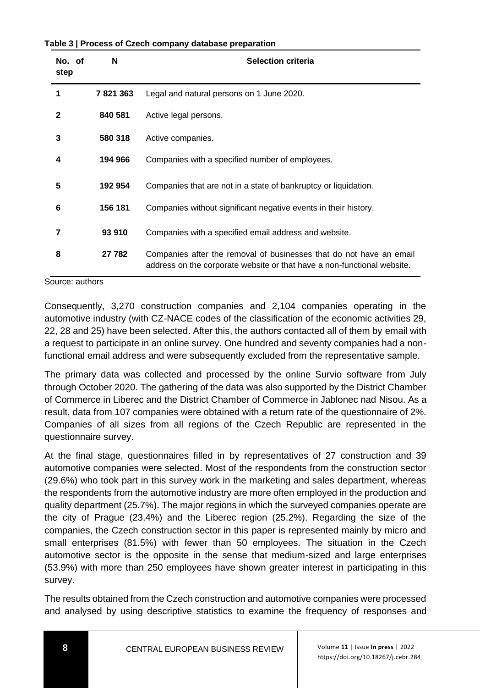**Table 3 | Process of Czech company database preparation**

| No. of<br>step | N       | <b>Selection criteria</b>                                                                                                                      |
|----------------|---------|------------------------------------------------------------------------------------------------------------------------------------------------|
| 1              | 7821363 | Legal and natural persons on 1 June 2020.                                                                                                      |
| $\mathbf{2}$   | 840 581 | Active legal persons.                                                                                                                          |
| 3              | 580 318 | Active companies.                                                                                                                              |
| 4              | 194 966 | Companies with a specified number of employees.                                                                                                |
| 5              | 192 954 | Companies that are not in a state of bankruptcy or liquidation.                                                                                |
| 6              | 156 181 | Companies without significant negative events in their history.                                                                                |
| 7              | 93 910  | Companies with a specified email address and website.                                                                                          |
| 8              | 27 782  | Companies after the removal of businesses that do not have an email<br>address on the corporate website or that have a non-functional website. |

Source: authors

Consequently, 3,270 construction companies and 2,104 companies operating in the automotive industry (with CZ-NACE codes of the classification of the economic activities 29, 22, 28 and 25) have been selected. After this, the authors contacted all of them by email with a request to participate in an online survey. One hundred and seventy companies had a nonfunctional email address and were subsequently excluded from the representative sample.

The primary data was collected and processed by the online Survio software from July through October 2020. The gathering of the data was also supported by the District Chamber of Commerce in Liberec and the District Chamber of Commerce in Jablonec nad Nisou. As a result, data from 107 companies were obtained with a return rate of the questionnaire of 2%. Companies of all sizes from all regions of the Czech Republic are represented in the questionnaire survey.

At the final stage, questionnaires filled in by representatives of 27 construction and 39 automotive companies were selected. Most of the respondents from the construction sector (29.6%) who took part in this survey work in the marketing and sales department, whereas the respondents from the automotive industry are more often employed in the production and quality department (25.7%). The major regions in which the surveyed companies operate are the city of Prague (23.4%) and the Liberec region (25.2%). Regarding the size of the companies, the Czech construction sector in this paper is represented mainly by micro and small enterprises (81.5%) with fewer than 50 employees. The situation in the Czech automotive sector is the opposite in the sense that medium-sized and large enterprises (53.9%) with more than 250 employees have shown greater interest in participating in this survey.

The results obtained from the Czech construction and automotive companies were processed and analysed by using descriptive statistics to examine the frequency of responses and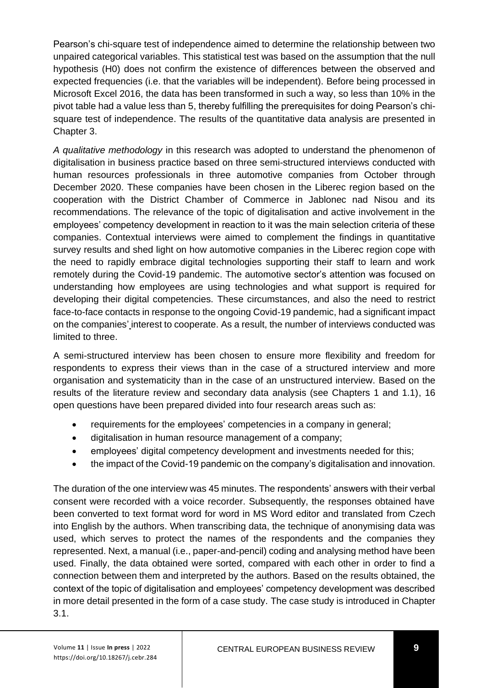Pearson's chi-square test of independence aimed to determine the relationship between two unpaired categorical variables. This statistical test was based on the assumption that the null hypothesis (H0) does not confirm the existence of differences between the observed and expected frequencies (i.e. that the variables will be independent). Before being processed in Microsoft Excel 2016, the data has been transformed in such a way, so less than 10% in the pivot table had a value less than 5, thereby fulfilling the prerequisites for doing Pearson's chisquare test of independence. The results of the quantitative data analysis are presented in Chapter 3.

*A qualitative methodology* in this research was adopted to understand the phenomenon of digitalisation in business practice based on three semi-structured interviews conducted with human resources professionals in three automotive companies from October through December 2020. These companies have been chosen in the Liberec region based on the cooperation with the District Chamber of Commerce in Jablonec nad Nisou and its recommendations. The relevance of the topic of digitalisation and active involvement in the employees' competency development in reaction to it was the main selection criteria of these companies. Contextual interviews were aimed to complement the findings in quantitative survey results and shed light on how automotive companies in the Liberec region cope with the need to rapidly embrace digital technologies supporting their staff to learn and work remotely during the Covid-19 pandemic. The automotive sector's attention was focused on understanding how employees are using technologies and what support is required for developing their digital competencies. These circumstances, and also the need to restrict face-to-face contacts in response to the ongoing Covid-19 pandemic, had a significant impact on the companies' interest to cooperate. As a result, the number of interviews conducted was limited to three.

A semi-structured interview has been chosen to ensure more flexibility and freedom for respondents to express their views than in the case of a structured interview and more organisation and systematicity than in the case of an unstructured interview. Based on the results of the literature review and secondary data analysis (see Chapters 1 and 1.1), 16 open questions have been prepared divided into four research areas such as:

- requirements for the employees' competencies in a company in general;
- digitalisation in human resource management of a company;
- employees' digital competency development and investments needed for this;
- the impact of the Covid-19 pandemic on the company's digitalisation and innovation.

The duration of the one interview was 45 minutes. The respondents' answers with their verbal consent were recorded with a voice recorder. Subsequently, the responses obtained have been converted to text format word for word in MS Word editor and translated from Czech into English by the authors. When transcribing data, the technique of anonymising data was used, which serves to protect the names of the respondents and the companies they represented. Next, a manual (i.e., paper-and-pencil) coding and analysing method have been used. Finally, the data obtained were sorted, compared with each other in order to find a connection between them and interpreted by the authors. Based on the results obtained, the context of the topic of digitalisation and employees' competency development was described in more detail presented in the form of a case study. The case study is introduced in Chapter 3.1.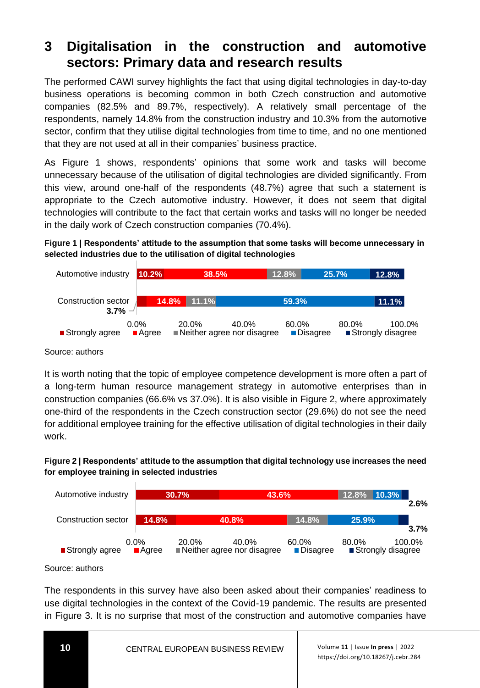## **3 Digitalisation in the construction and automotive sectors: Primary data and research results**

The performed CAWI survey highlights the fact that using digital technologies in day-to-day business operations is becoming common in both Czech construction and automotive companies (82.5% and 89.7%, respectively). A relatively small percentage of the respondents, namely 14.8% from the construction industry and 10.3% from the automotive sector, confirm that they utilise digital technologies from time to time, and no one mentioned that they are not used at all in their companies' business practice.

As Figure 1 shows, respondents' opinions that some work and tasks will become unnecessary because of the utilisation of digital technologies are divided significantly. From this view, around one-half of the respondents (48.7%) agree that such a statement is appropriate to the Czech automotive industry. However, it does not seem that digital technologies will contribute to the fact that certain works and tasks will no longer be needed in the daily work of Czech construction companies (70.4%).

**Figure 1 | Respondents' attitude to the assumption that some tasks will become unnecessary in selected industries due to the utilisation of digital technologies** 



Source: authors

It is worth noting that the topic of employee competence development is more often a part of a long-term human resource management strategy in automotive enterprises than in construction companies (66.6% vs 37.0%). It is also visible in Figure 2, where approximately one-third of the respondents in the Czech construction sector (29.6%) do not see the need for additional employee training for the effective utilisation of digital technologies in their daily work.

#### **Figure 2 | Respondents' attitude to the assumption that digital technology use increases the need for employee training in selected industries**



Source: authors

The respondents in this survey have also been asked about their companies' readiness to use digital technologies in the context of the Covid-19 pandemic. The results are presented in Figure 3. It is no surprise that most of the construction and automotive companies have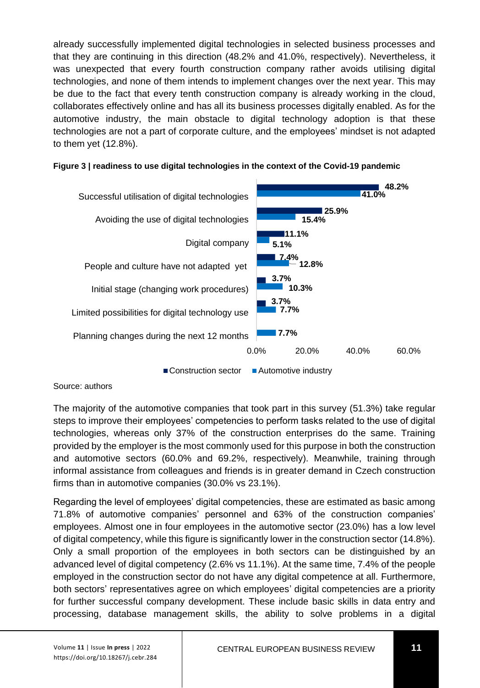already successfully implemented digital technologies in selected business processes and that they are continuing in this direction (48.2% and 41.0%, respectively). Nevertheless, it was unexpected that every fourth construction company rather avoids utilising digital technologies, and none of them intends to implement changes over the next year. This may be due to the fact that every tenth construction company is already working in the cloud, collaborates effectively online and has all its business processes digitally enabled. As for the automotive industry, the main obstacle to digital technology adoption is that these technologies are not a part of corporate culture, and the employees' mindset is not adapted to them yet (12.8%).

#### **Figure 3 | readiness to use digital technologies in the context of the Covid-19 pandemic**



Source: authors

The majority of the automotive companies that took part in this survey (51.3%) take regular steps to improve their employees' competencies to perform tasks related to the use of digital technologies, whereas only 37% of the construction enterprises do the same. Training provided by the employer is the most commonly used for this purpose in both the construction and automotive sectors (60.0% and 69.2%, respectively). Meanwhile, training through informal assistance from colleagues and friends is in greater demand in Czech construction firms than in automotive companies (30.0% vs 23.1%).

Regarding the level of employees' digital competencies, these are estimated as basic among 71.8% of automotive companies' personnel and 63% of the construction companies' employees. Almost one in four employees in the automotive sector (23.0%) has a low level of digital competency, while this figure is significantly lower in the construction sector (14.8%). Only a small proportion of the employees in both sectors can be distinguished by an advanced level of digital competency (2.6% vs 11.1%). At the same time, 7.4% of the people employed in the construction sector do not have any digital competence at all. Furthermore, both sectors' representatives agree on which employees' digital competencies are a priority for further successful company development. These include basic skills in data entry and processing, database management skills, the ability to solve problems in a digital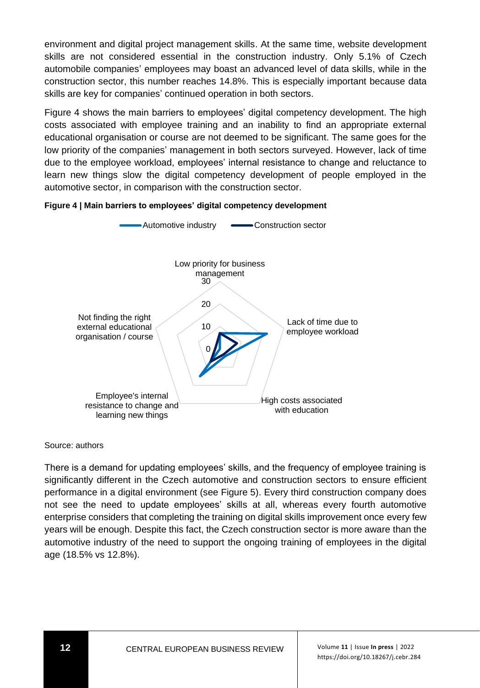environment and digital project management skills. At the same time, website development skills are not considered essential in the construction industry. Only 5.1% of Czech automobile companies' employees may boast an advanced level of data skills, while in the construction sector, this number reaches 14.8%. This is especially important because data skills are key for companies' continued operation in both sectors.

Figure 4 shows the main barriers to employees' digital competency development. The high costs associated with employee training and an inability to find an appropriate external educational organisation or course are not deemed to be significant. The same goes for the low priority of the companies' management in both sectors surveyed. However, lack of time due to the employee workload, employees' internal resistance to change and reluctance to learn new things slow the digital competency development of people employed in the automotive sector, in comparison with the construction sector.





Source: authors

There is a demand for updating employees' skills, and the frequency of employee training is significantly different in the Czech automotive and construction sectors to ensure efficient performance in a digital environment (see Figure 5). Every third construction company does not see the need to update employees' skills at all, whereas every fourth automotive enterprise considers that completing the training on digital skills improvement once every few years will be enough. Despite this fact, the Czech construction sector is more aware than the automotive industry of the need to support the ongoing training of employees in the digital age (18.5% vs 12.8%).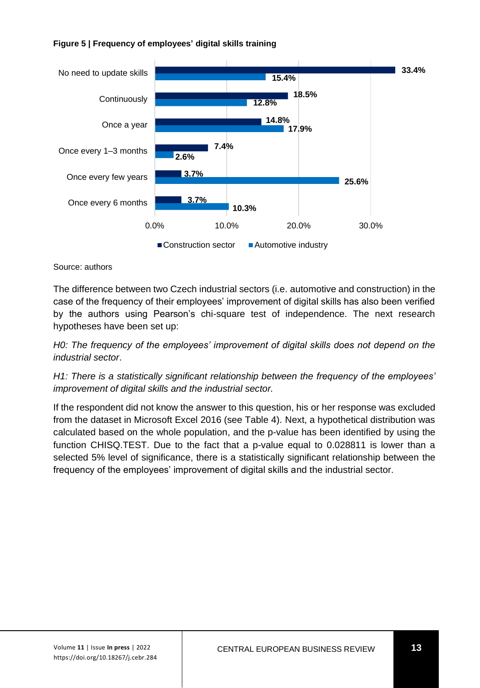



Source: authors

The difference between two Czech industrial sectors (i.e. automotive and construction) in the case of the frequency of their employees' improvement of digital skills has also been verified by the authors using Pearson's chi-square test of independence. The next research hypotheses have been set up:

*H0: The frequency of the employees' improvement of digital skills does not depend on the industrial sector*.

*H1: There is a statistically significant relationship between the frequency of the employees' improvement of digital skills and the industrial sector.*

If the respondent did not know the answer to this question, his or her response was excluded from the dataset in Microsoft Excel 2016 (see Table 4). Next, a hypothetical distribution was calculated based on the whole population, and the p-value has been identified by using the function CHISQ.TEST. Due to the fact that a p-value equal to 0.028811 is lower than a selected 5% level of significance, there is a statistically significant relationship between the frequency of the employees' improvement of digital skills and the industrial sector.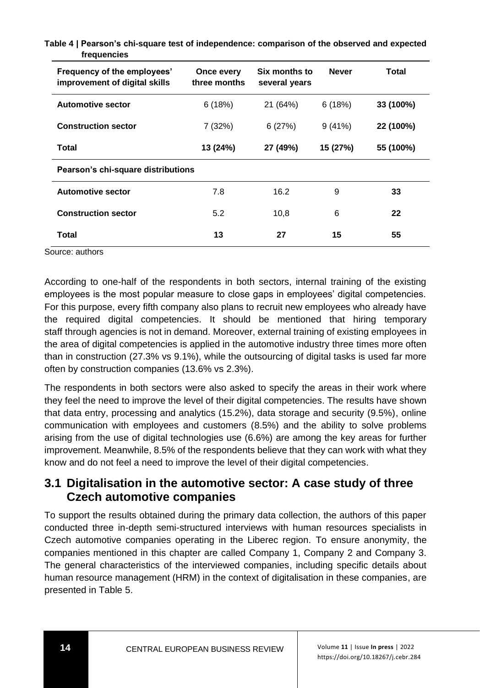| Frequency of the employees'<br>improvement of digital skills | Once every<br>three months | Six months to<br>several years | <b>Never</b> | Total     |
|--------------------------------------------------------------|----------------------------|--------------------------------|--------------|-----------|
| <b>Automotive sector</b>                                     | 6(18%)                     | 21 (64%)                       | 6(18%)       | 33 (100%) |
| <b>Construction sector</b>                                   | 7(32%)                     | 6(27%)                         | 9(41%)       | 22 (100%) |
| Total                                                        | 13 (24%)                   | 27 (49%)                       | 15 (27%)     | 55 (100%) |
| Pearson's chi-square distributions                           |                            |                                |              |           |
| <b>Automotive sector</b>                                     | 7.8                        | 16.2                           | 9            | 33        |
| <b>Construction sector</b>                                   | 5.2                        | 10,8                           | 6            | 22        |
| Total                                                        | 13                         | 27                             | 15           | 55        |

**Table 4 | Pearson's chi-square test of independence: comparison of the observed and expected frequencies**

Source: authors

According to one-half of the respondents in both sectors, internal training of the existing employees is the most popular measure to close gaps in employees' digital competencies. For this purpose, every fifth company also plans to recruit new employees who already have the required digital competencies. It should be mentioned that hiring temporary staff through agencies is not in demand. Moreover, external training of existing employees in the area of digital competencies is applied in the automotive industry three times more often than in construction (27.3% vs 9.1%), while the outsourcing of digital tasks is used far more often by construction companies (13.6% vs 2.3%).

The respondents in both sectors were also asked to specify the areas in their work where they feel the need to improve the level of their digital competencies. The results have shown that data entry, processing and analytics (15.2%), data storage and security (9.5%), online communication with employees and customers (8.5%) and the ability to solve problems arising from the use of digital technologies use (6.6%) are among the key areas for further improvement. Meanwhile, 8.5% of the respondents believe that they can work with what they know and do not feel a need to improve the level of their digital competencies.

### **3.1 Digitalisation in the automotive sector: A case study of three Czech automotive companies**

To support the results obtained during the primary data collection, the authors of this paper conducted three in-depth semi-structured interviews with human resources specialists in Czech automotive companies operating in the Liberec region. To ensure anonymity, the companies mentioned in this chapter are called Company 1, Company 2 and Company 3. The general characteristics of the interviewed companies, including specific details about human resource management (HRM) in the context of digitalisation in these companies, are presented in Table 5.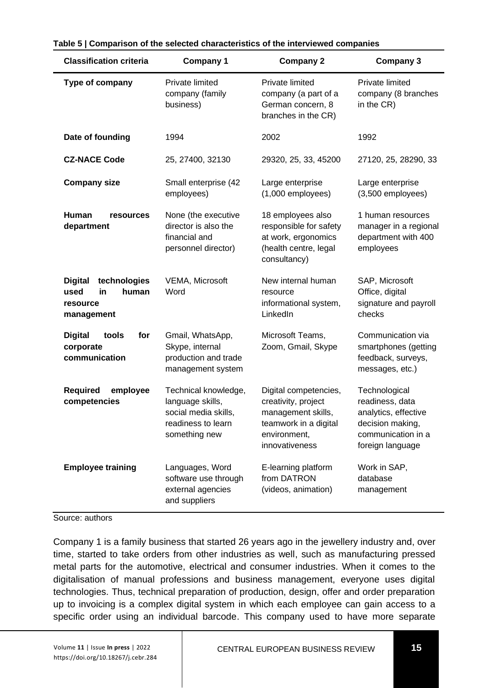| <b>Classification criteria</b>                                                  | <b>Company 1</b>                                                                                        | <b>Company 2</b>                                                                                                              | Company 3                                                                                                              |
|---------------------------------------------------------------------------------|---------------------------------------------------------------------------------------------------------|-------------------------------------------------------------------------------------------------------------------------------|------------------------------------------------------------------------------------------------------------------------|
| Type of company                                                                 | Private limited<br>company (family<br>business)                                                         | Private limited<br>company (a part of a<br>German concern, 8<br>branches in the CR)                                           | Private limited<br>company (8 branches<br>in the CR)                                                                   |
| Date of founding                                                                | 1994                                                                                                    | 2002                                                                                                                          | 1992                                                                                                                   |
| <b>CZ-NACE Code</b>                                                             | 25, 27400, 32130                                                                                        | 29320, 25, 33, 45200                                                                                                          | 27120, 25, 28290, 33                                                                                                   |
| <b>Company size</b>                                                             | Small enterprise (42<br>employees)                                                                      | Large enterprise<br>$(1,000$ employees)                                                                                       | Large enterprise<br>$(3,500$ employees)                                                                                |
| Human<br>resources<br>department                                                | None (the executive<br>director is also the<br>financial and<br>personnel director)                     | 18 employees also<br>responsible for safety<br>at work, ergonomics<br>(health centre, legal<br>consultancy)                   | 1 human resources<br>manager in a regional<br>department with 400<br>employees                                         |
| <b>Digital</b><br>technologies<br>human<br>used<br>in<br>resource<br>management | VEMA, Microsoft<br>Word                                                                                 | New internal human<br>resource<br>informational system,<br>LinkedIn                                                           | SAP, Microsoft<br>Office, digital<br>signature and payroll<br>checks                                                   |
| tools<br>for<br><b>Digital</b><br>corporate<br>communication                    | Gmail, WhatsApp,<br>Skype, internal<br>production and trade<br>management system                        | Microsoft Teams,<br>Zoom, Gmail, Skype                                                                                        | Communication via<br>smartphones (getting<br>feedback, surveys,<br>messages, etc.)                                     |
| Required<br>employee<br>competencies                                            | Technical knowledge,<br>language skills,<br>social media skills.<br>readiness to learn<br>something new | Digital competencies,<br>creativity, project<br>management skills,<br>teamwork in a digital<br>environment,<br>innovativeness | Technological<br>readiness, data<br>analytics, effective<br>decision making,<br>communication in a<br>foreign language |
| <b>Employee training</b>                                                        | Languages, Word<br>software use through<br>external agencies<br>and suppliers                           | E-learning platform<br>from DATRON<br>(videos, animation)                                                                     | Work in SAP.<br>database<br>management                                                                                 |

#### **Table 5 | Comparison of the selected characteristics of the interviewed companies**

Source: authors

Company 1 is a family business that started 26 years ago in the jewellery industry and, over time, started to take orders from other industries as well, such as manufacturing pressed metal parts for the automotive, electrical and consumer industries. When it comes to the digitalisation of manual professions and business management, everyone uses digital technologies. Thus, technical preparation of production, design, offer and order preparation up to invoicing is a complex digital system in which each employee can gain access to a specific order using an individual barcode. This company used to have more separate

 Volume **<sup>11</sup>** | Issue **In press** | 2022 https://doi.org/10.18267/j.cebr.284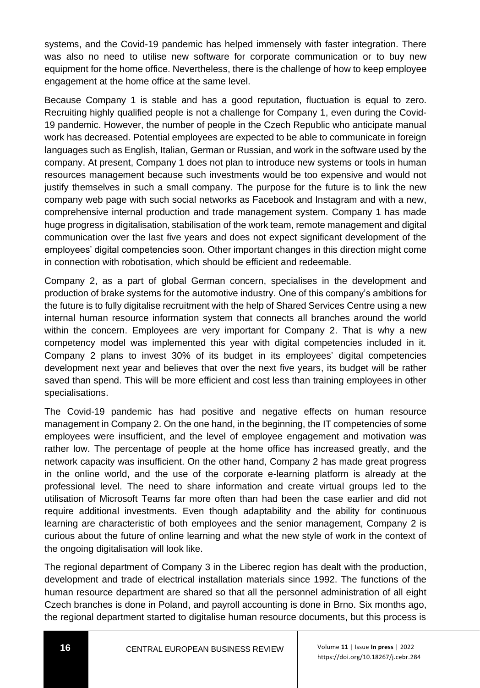systems, and the Covid-19 pandemic has helped immensely with faster integration. There was also no need to utilise new software for corporate communication or to buy new equipment for the home office. Nevertheless, there is the challenge of how to keep employee engagement at the home office at the same level.

Because Company 1 is stable and has a good reputation, fluctuation is equal to zero. Recruiting highly qualified people is not a challenge for Company 1, even during the Covid-19 pandemic. However, the number of people in the Czech Republic who anticipate manual work has decreased. Potential employees are expected to be able to communicate in foreign languages such as English, Italian, German or Russian, and work in the software used by the company. At present, Company 1 does not plan to introduce new systems or tools in human resources management because such investments would be too expensive and would not justify themselves in such a small company. The purpose for the future is to link the new company web page with such social networks as Facebook and Instagram and with a new, comprehensive internal production and trade management system. Company 1 has made huge progress in digitalisation, stabilisation of the work team, remote management and digital communication over the last five years and does not expect significant development of the employees' digital competencies soon. Other important changes in this direction might come in connection with robotisation, which should be efficient and redeemable.

Company 2, as a part of global German concern, specialises in the development and production of brake systems for the automotive industry. One of this company's ambitions for the future is to fully digitalise recruitment with the help of Shared Services Centre using a new internal human resource information system that connects all branches around the world within the concern. Employees are very important for Company 2. That is why a new competency model was implemented this year with digital competencies included in it. Company 2 plans to invest 30% of its budget in its employees' digital competencies development next year and believes that over the next five years, its budget will be rather saved than spend. This will be more efficient and cost less than training employees in other specialisations.

The Covid-19 pandemic has had positive and negative effects on human resource management in Company 2. On the one hand, in the beginning, the IT competencies of some employees were insufficient, and the level of employee engagement and motivation was rather low. The percentage of people at the home office has increased greatly, and the network capacity was insufficient. On the other hand, Company 2 has made great progress in the online world, and the use of the corporate e-learning platform is already at the professional level. The need to share information and create virtual groups led to the utilisation of Microsoft Teams far more often than had been the case earlier and did not require additional investments. Even though adaptability and the ability for continuous learning are characteristic of both employees and the senior management, Company 2 is curious about the future of online learning and what the new style of work in the context of the ongoing digitalisation will look like.

The regional department of Company 3 in the Liberec region has dealt with the production, development and trade of electrical installation materials since 1992. The functions of the human resource department are shared so that all the personnel administration of all eight Czech branches is done in Poland, and payroll accounting is done in Brno. Six months ago, the regional department started to digitalise human resource documents, but this process is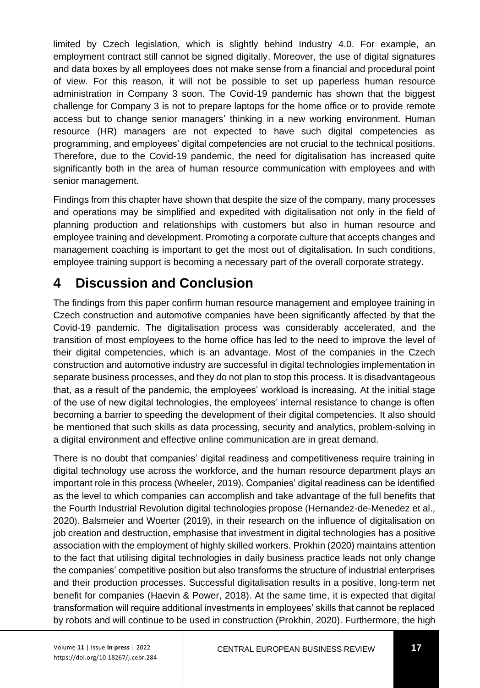limited by Czech legislation, which is slightly behind Industry 4.0. For example, an employment contract still cannot be signed digitally. Moreover, the use of digital signatures and data boxes by all employees does not make sense from a financial and procedural point of view. For this reason, it will not be possible to set up paperless human resource administration in Company 3 soon. The Covid-19 pandemic has shown that the biggest challenge for Company 3 is not to prepare laptops for the home office or to provide remote access but to change senior managers' thinking in a new working environment. Human resource (HR) managers are not expected to have such digital competencies as programming, and employees' digital competencies are not crucial to the technical positions. Therefore, due to the Covid-19 pandemic, the need for digitalisation has increased quite significantly both in the area of human resource communication with employees and with senior management.

Findings from this chapter have shown that despite the size of the company, many processes and operations may be simplified and expedited with digitalisation not only in the field of planning production and relationships with customers but also in human resource and employee training and development. Promoting a corporate culture that accepts changes and management coaching is important to get the most out of digitalisation. In such conditions, employee training support is becoming a necessary part of the overall corporate strategy.

# **4 Discussion and Conclusion**

The findings from this paper confirm human resource management and employee training in Czech construction and automotive companies have been significantly affected by that the Covid-19 pandemic. The digitalisation process was considerably accelerated, and the transition of most employees to the home office has led to the need to improve the level of their digital competencies, which is an advantage. Most of the companies in the Czech construction and automotive industry are successful in digital technologies implementation in separate business processes, and they do not plan to stop this process. It is disadvantageous that, as a result of the pandemic, the employees' workload is increasing. At the initial stage of the use of new digital technologies, the employees' internal resistance to change is often becoming a barrier to speeding the development of their digital competencies. It also should be mentioned that such skills as data processing, security and analytics, problem-solving in a digital environment and effective online communication are in great demand.

There is no doubt that companies' digital readiness and competitiveness require training in digital technology use across the workforce, and the human resource department plays an important role in this process (Wheeler, 2019). Companies' digital readiness can be identified as the level to which companies can accomplish and take advantage of the full benefits that the Fourth Industrial Revolution digital technologies propose (Hernandez-de-Menedez et al., 2020). Balsmeier and Woerter (2019), in their research on the influence of digitalisation on job creation and destruction, emphasise that investment in digital technologies has a positive association with the employment of highly skilled workers. Prokhin (2020) maintains attention to the fact that utilising digital technologies in daily business practice leads not only change the companies' competitive position but also transforms the structure of industrial enterprises and their production processes. Successful digitalisation results in a positive, long-term net benefit for companies (Haevin & Power, 2018). At the same time, it is expected that digital transformation will require additional investments in employees' skills that cannot be replaced by robots and will continue to be used in construction (Prokhin, 2020). Furthermore, the high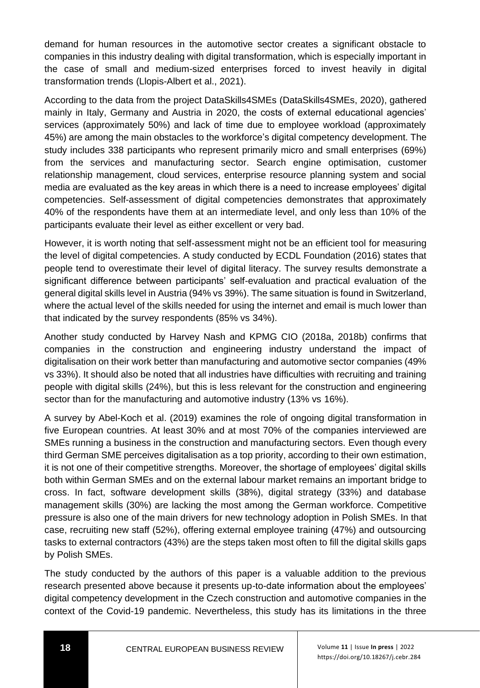demand for human resources in the automotive sector creates a significant obstacle to companies in this industry dealing with digital transformation, which is especially important in the case of small and medium-sized enterprises forced to invest heavily in digital transformation trends (Llopis-Albert et al., 2021).

According to the data from the project DataSkills4SMEs (DataSkills4SMEs, 2020), gathered mainly in Italy, Germany and Austria in 2020, the costs of external educational agencies' services (approximately 50%) and lack of time due to employee workload (approximately 45%) are among the main obstacles to the workforce's digital competency development. The study includes 338 participants who represent primarily micro and small enterprises (69%) from the services and manufacturing sector. Search engine optimisation, customer relationship management, cloud services, enterprise resource planning system and social media are evaluated as the key areas in which there is a need to increase employees' digital competencies. Self-assessment of digital competencies demonstrates that approximately 40% of the respondents have them at an intermediate level, and only less than 10% of the participants evaluate their level as either excellent or very bad.

However, it is worth noting that self-assessment might not be an efficient tool for measuring the level of digital competencies. A study conducted by ECDL Foundation (2016) states that people tend to overestimate their level of digital literacy. The survey results demonstrate a significant difference between participants' self-evaluation and practical evaluation of the general digital skills level in Austria (94% vs 39%). The same situation is found in Switzerland, where the actual level of the skills needed for using the internet and email is much lower than that indicated by the survey respondents (85% vs 34%).

Another study conducted by Harvey Nash and KPMG CIO (2018a, 2018b) confirms that companies in the construction and engineering industry understand the impact of digitalisation on their work better than manufacturing and automotive sector companies (49% vs 33%). It should also be noted that all industries have difficulties with recruiting and training people with digital skills (24%), but this is less relevant for the construction and engineering sector than for the manufacturing and automotive industry (13% vs 16%).

A survey by Abel-Koch et al. (2019) examines the role of ongoing digital transformation in five European countries. At least 30% and at most 70% of the companies interviewed are SMEs running a business in the construction and manufacturing sectors. Even though every third German SME perceives digitalisation as a top priority, according to their own estimation, it is not one of their competitive strengths. Moreover, the shortage of employees' digital skills both within German SMEs and on the external labour market remains an important bridge to cross. In fact, software development skills (38%), digital strategy (33%) and database management skills (30%) are lacking the most among the German workforce. Competitive pressure is also one of the main drivers for new technology adoption in Polish SMEs. In that case, recruiting new staff (52%), offering external employee training (47%) and outsourcing tasks to external contractors (43%) are the steps taken most often to fill the digital skills gaps by Polish SMEs.

The study conducted by the authors of this paper is a valuable addition to the previous research presented above because it presents up-to-date information about the employees' digital competency development in the Czech construction and automotive companies in the context of the Covid-19 pandemic. Nevertheless, this study has its limitations in the three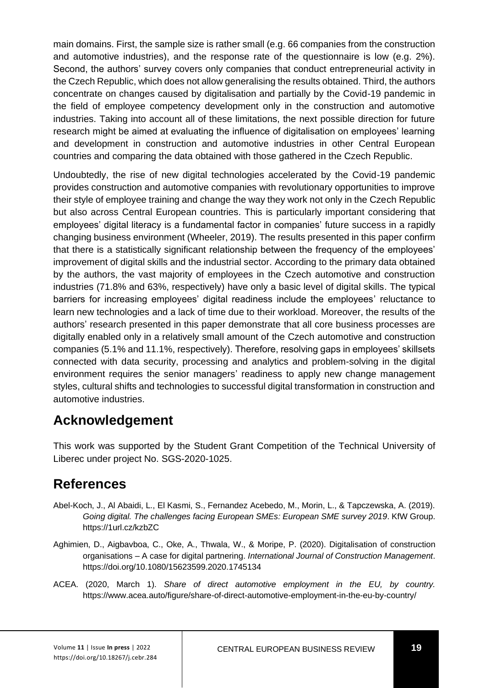main domains. First, the sample size is rather small (e.g. 66 companies from the construction and automotive industries), and the response rate of the questionnaire is low (e.g. 2%). Second, the authors' survey covers only companies that conduct entrepreneurial activity in the Czech Republic, which does not allow generalising the results obtained. Third, the authors concentrate on changes caused by digitalisation and partially by the Covid-19 pandemic in the field of employee competency development only in the construction and automotive industries. Taking into account all of these limitations, the next possible direction for future research might be aimed at evaluating the influence of digitalisation on employees' learning and development in construction and automotive industries in other Central European countries and comparing the data obtained with those gathered in the Czech Republic.

Undoubtedly, the rise of new digital technologies accelerated by the Covid-19 pandemic provides construction and automotive companies with revolutionary opportunities to improve their style of employee training and change the way they work not only in the Czech Republic but also across Central European countries. This is particularly important considering that employees' digital literacy is a fundamental factor in companies' future success in a rapidly changing business environment (Wheeler, 2019). The results presented in this paper confirm that there is a statistically significant relationship between the frequency of the employees' improvement of digital skills and the industrial sector. According to the primary data obtained by the authors, the vast majority of employees in the Czech automotive and construction industries (71.8% and 63%, respectively) have only a basic level of digital skills. The typical barriers for increasing employees' digital readiness include the employees' reluctance to learn new technologies and a lack of time due to their workload. Moreover, the results of the authors' research presented in this paper demonstrate that all core business processes are digitally enabled only in a relatively small amount of the Czech automotive and construction companies (5.1% and 11.1%, respectively). Therefore, resolving gaps in employees' skillsets connected with data security, processing and analytics and problem-solving in the digital environment requires the senior managers' readiness to apply new change management styles, cultural shifts and technologies to successful digital transformation in construction and automotive industries.

## **Acknowledgement**

This work was supported by the Student Grant Competition of the Technical University of Liberec under project No. SGS-2020-1025.

# **References**

- Abel-Koch, J., Al Abaidi, L., El Kasmi, S., Fernandez Acebedo, M., Morin, L., & Tapczewska, A. (2019). *Going digital. The challenges facing European SMEs: European SME survey 2019*. KfW Group. https://1url.cz/kzbZC
- Aghimien, D., Aigbavboa, C., Oke, A., Thwala, W., & Moripe, P. (2020). Digitalisation of construction organisations – A case for digital partnering. *International Journal of Construction Management*. <https://doi.org/10.1080/15623599.2020.1745134>
- ACEA. (2020, March 1). *Share of direct automotive employment in the EU, by country.*  https://www.acea.auto/figure/share-of-direct-automotive-employment-in-the-eu-by-country/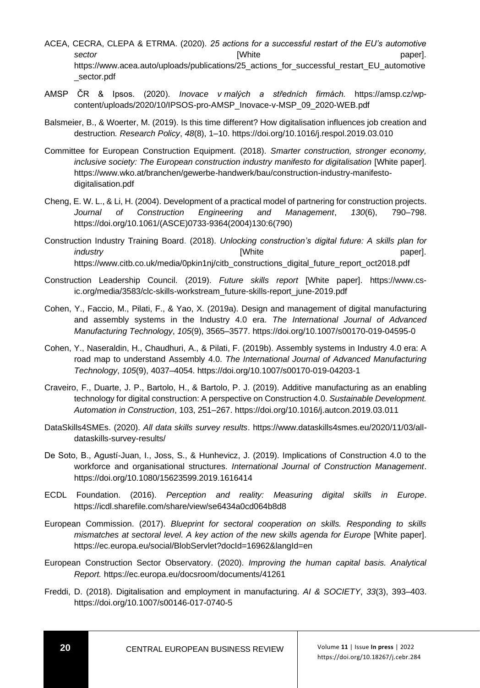- ACEA, CECRA, CLEPA & ETRMA. (2020). *25 actions for a successful restart of the EU's automotive*  **sector paper**]. **paper paper paper paper paper paper paper paper paper paper paper paper paper paper paper paper paper paper paper paper paper paper paper paper paper pa** https://www.acea.auto/uploads/publications/25 actions for successful restart EU automotive \_sector.pdf
- AMSP ČR & Ipsos. (2020). *Inovace v malých a středních firmách.* https://amsp.cz/wpcontent/uploads/2020/10/IPSOS-pro-AMSP\_Inovace-v-MSP\_09\_2020-WEB.pdf
- Balsmeier, B., & Woerter, M. (2019). Is this time different? How digitalisation influences job creation and destruction*. Research Policy*, *48*(8), 1–10. https://doi.org/10.1016/j.respol.2019.03.010
- Committee for European Construction Equipment. (2018). *Smarter construction, stronger economy, inclusive society: The European construction industry manifesto for digitalisation* [White paper]. https://www.wko.at/branchen/gewerbe-handwerk/bau/construction-industry-manifestodigitalisation.pdf
- Cheng, E. W. L., & Li, H. (2004). Development of a practical model of partnering for construction projects. *Journal of Construction Engineering and Management*, *130*(6), 790–798. [https://doi.org/10.1061/\(ASCE\)0733-9364\(2004\)130:6\(790\)](https://doi.org/10.1061/(ASCE)0733-9364(2004)130:6(790))
- Construction Industry Training Board. (2018). *Unlocking construction's digital future: A skills plan for industry* paper]. https://www.citb.co.uk/media/0pkin1nj/citb\_constructions\_digital\_future\_report\_oct2018.pdf
- Construction Leadership Council. (2019). *Future skills report* [White paper]. https://www.csic.org/media/3583/clc-skills-workstream\_future-skills-report\_june-2019.pdf
- Cohen, Y., Faccio, M., Pilati, F., & Yao, X. (2019a). Design and management of digital manufacturing and assembly systems in the Industry 4.0 era. *The International Journal of Advanced Manufacturing Technology*, *105*(9), 3565–357[7.](https://doi.org/10.1007/s00170-019-04595-0) <https://doi.org/10.1007/s00170-019-04595-0>
- Cohen, Y., Naseraldin, H., Chaudhuri, A., & Pilati, F. (2019b). Assembly systems in Industry 4.0 era: A road map to understand Assembly 4.0. *The International Journal of Advanced Manufacturing Technology*, *105*(9), 4037–405[4.](https://doi.org/10.1007/s00170-019-04203-1) <https://doi.org/10.1007/s00170-019-04203-1>
- Craveiro, F., Duarte, J. P., Bartolo, H., & Bartolo, P. J. (2019). Additive manufacturing as an enabling technology for digital construction: A perspective on Construction 4.0. *Sustainable Development. Automation in Construction*, 103, 251–267.<https://doi.org/10.1016/j.autcon.2019.03.011>
- DataSkills4SMEs. (2020). *All data skills survey results*. https://www.dataskills4smes.eu/2020/11/03/alldataskills-survey-results/
- De Soto, B., Agustí-Juan, I., Joss, S., & Hunhevicz, J. (2019). Implications of Construction 4.0 to the workforce and organisational structures. *International Journal of Construction Management*. <https://doi.org/10.1080/15623599.2019.1616414>
- ECDL Foundation. (2016). *Perception and reality: Measuring digital skills in Europe*. <https://icdl.sharefile.com/share/view/se6434a0cd064b8d8>
- European Commission. (2017). *Blueprint for sectoral cooperation on skills. Responding to skills mismatches at sectoral level. A key action of the new skills agenda for Europe* [White paper]. https://ec.europa.eu/social/BlobServlet?docId=16962&langId=en
- European Construction Sector Observatory. (2020). *Improving the human capital basis. Analytical Report.* https://ec.europa.eu/docsroom/documents/41261
- Freddi, D. (2018). Digitalisation and employment in manufacturing. *AI & SOCIETY*, *33*(3), 393–40[3.](https://doi.org/10.1007/s00146-017-0740-5) <https://doi.org/10.1007/s00146-017-0740-5>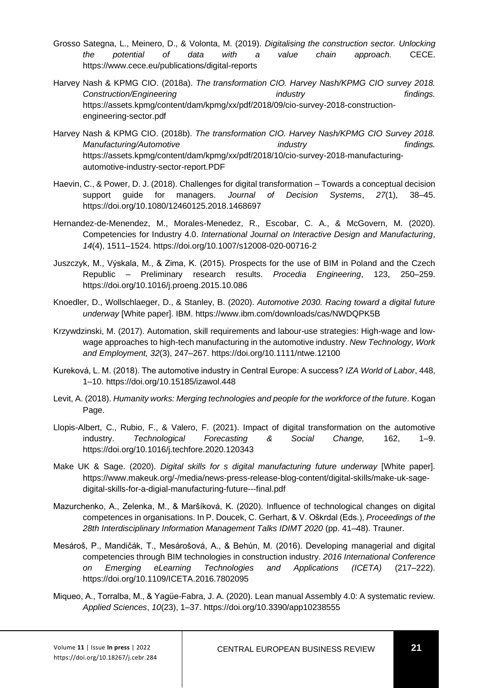- Grosso Sategna, L., Meinero, D., & Volonta, M. (2019). *Digitalising the construction sector. Unlocking the potential of data with a value chain approach.* CECE. https://www.cece.eu/publications/digital-reports
- Harvey Nash & KPMG CIO. (2018a). *The transformation CIO. Harvey Nash/KPMG CIO survey 2018. Construction/Engineering industry findings.* https://assets.kpmg/content/dam/kpmg/xx/pdf/2018/09/cio-survey-2018-constructionengineering-sector.pdf
- Harvey Nash & KPMG CIO. (2018b). *The transformation CIO. Harvey Nash/KPMG CIO Survey 2018. Manufacturing/Automotive industry findings.* https://assets.kpmg/content/dam/kpmg/xx/pdf/2018/10/cio-survey-2018-manufacturingautomotive-industry-sector-report.PDF
- Haevin, C., & Power, D. J. (2018). Challenges for digital transformation Towards a conceptual decision support guide for managers. *Journal of Decision Systems*, *27*(1), 38–45. https://doi.org/10.1080/12460125.2018.1468697
- Hernandez-de-Menendez, M., Morales-Menedez, R., Escobar, C. A., & McGovern, M. (2020). Competencies for Industry 4.0. *International Journal on Interactive Design and Manufacturing*, *14*(4), 1511–1524. https://doi.org/10.1007/s12008-020-00716-2
- Juszczyk, M., Výskala, M., & Zima, K. (2015). Prospects for the use of BIM in Poland and the Czech Republic – Preliminary research results. *Procedia Engineering*, 123, 250–259. <https://doi.org/10.1016/j.proeng.2015.10.086>
- Knoedler, D., Wollschlaeger, D., & Stanley, B. (2020). *Automotive 2030. Racing toward a digital future underway* [White paper]. IBM. https://www.ibm.com/downloads/cas/NWDQPK5B
- Krzywdzinski, M. (2017). Automation, skill requirements and labour-use strategies: High-wage and lowwage approaches to high-tech manufacturing in the automotive industry. *New Technology, Work and Employment, 32*(3), 247–267. https://doi.org/10.1111/ntwe.12100
- Kureková, L. M. (2018). The automotive industry in Central Europe: A success? *IZA World of Labor*, 448, 1–10. https://doi.org/10.15185/izawol.448
- Levit, A. (2018). *Humanity works: Merging technologies and people for the workforce of the future*. Kogan Page.
- Llopis-Albert, C., Rubio, F., & Valero, F. (2021). Impact of digital transformation on the automotive industry. *Technological Forecasting & Social Change,* 162, 1–9. https://doi.org/10.1016/j.techfore.2020.120343
- Make UK & Sage. (2020). *Digital skills for s digital manufacturing future underway* [White paper]. https://www.makeuk.org/-/media/news-press-release-blog-content/digital-skills/make-uk-sagedigital-skills-for-a-digial-manufacturing-future---final.pdf
- Mazurchenko, A., Zelenka, M., & Maršíková, K. (2020). Influence of technological changes on digital competences in organisations. In P. Doucek, C. Gerhart, & V. Oškrdal (Eds.), *Proceedings of the 28th Interdisciplinary Information Management Talks IDIMT 2020* (pp. 41–48). Trauner.
- Mesároš, P., Mandičák, T., Mesárošová, A., & Behún, M. (2016). Developing managerial and digital competencies through BIM technologies in construction industry. *2016 International Conference on Emerging eLearning Technologies and Applications (ICETA)* (217–222). <https://doi.org/10.1109/ICETA.2016.7802095>
- Miqueo, A., Torralba, M., & Yagüe-Fabra, J. A. (2020). Lean manual Assembly 4.0: A systematic review. *Applied Sciences*, *10*(23), 1–37. https://doi.org/10.3390/app10238555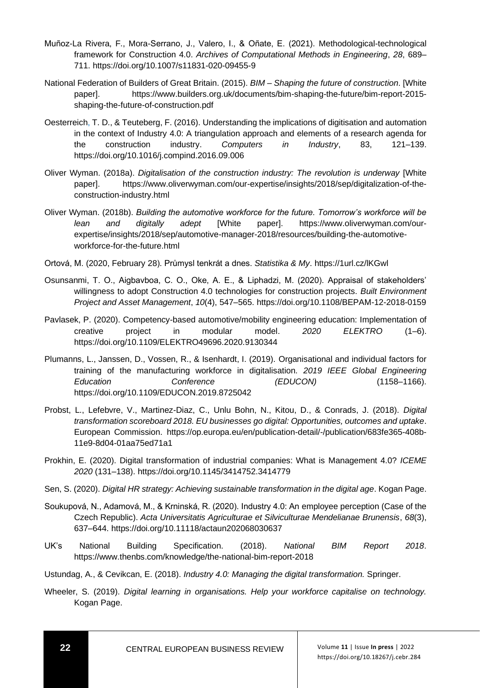- Muñoz-La Rivera, F., Mora-Serrano, J., Valero, I., & Oñate, E. (2021). Methodological-technological framework for Construction 4.0. *Archives of Computational Methods in Engineering*, *28*, 689– 711[. https://doi.org/10.1007/s11831-020-09455-9](https://doi.org/10.1007/s11831-020-09455-9)
- National Federation of Builders of Great Britain. (2015). *BIM Shaping the future of construction*. [White paper]. https://www.builders.org.uk/documents/bim-shaping-the-future/bim-report-2015 shaping-the-future-of-construction.pdf
- Oesterreich, T. D., & Teuteberg, F. (2016). Understanding the implications of digitisation and automation in the context of Industry 4.0: A triangulation approach and elements of a research agenda for the construction industry. *Computers in Industry*, 83, 121–139. <https://doi.org/10.1016/j.compind.2016.09.006>
- Oliver Wyman. (2018a). *Digitalisation of the construction industry: The revolution is underway* [White paper]. [https://www.oliverwyman.com/our-expertise/insights/2018/sep/digitalization-of-the](https://www.oliverwyman.com/our-expertise/insights/2018/sep/digitalization-of-the-construction-industry.html)[construction-industry.html](https://www.oliverwyman.com/our-expertise/insights/2018/sep/digitalization-of-the-construction-industry.html)
- Oliver Wyman. (2018b). *Building the automotive workforce for the future. Tomorrow's workforce will be lean and digitally adept* [White paper]. https://www.oliverwyman.com/ourexpertise/insights/2018/sep/automotive-manager-2018/resources/building-the-automotiveworkforce-for-the-future.html
- Ortová, M. (2020, February 28). Průmysl tenkrát a dnes. *Statistika & My*. https://1url.cz/lKGwl
- Osunsanmi, T. O., Aigbavboa, C. O., Oke, A. E., & Liphadzi, M. (2020). Appraisal of stakeholders' willingness to adopt Construction 4.0 technologies for construction projects. *Built Environment Project and Asset Management*, *10*(4), 547–565[. https://doi.org/10.1108/BEPAM-12-2018-0159](https://doi.org/10.1108/BEPAM-12-2018-0159)
- Pavlasek, P. (2020). Competency-based automotive/mobility engineering education: Implementation of creative project in modular model. *2020 ELEKTRO* (1–6). <https://doi.org/10.1109/ELEKTRO49696.2020.9130344>
- Plumanns, L., Janssen, D., Vossen, R., & Isenhardt, I. (2019). Organisational and individual factors for training of the manufacturing workforce in digitalisation. *2019 IEEE Global Engineering Education Conference (EDUCON)* (1158–1166[\).](https://doi.org/10.1109/EDUCON.2019.8725042) <https://doi.org/10.1109/EDUCON.2019.8725042>
- Probst, L., Lefebvre, V., Martinez-Diaz, C., Unlu Bohn, N., Kitou, D., & Conrads, J. (2018). *Digital transformation scoreboard 2018. EU businesses go digital: Opportunities, outcomes and uptake*. European Commission. https://op.europa.eu/en/publication-detail/-/publication/683fe365-408b-11e9-8d04-01aa75ed71a1
- Prokhin, E. (2020). Digital transformation of industrial companies: What is Management 4.0? *ICEME 2020* (131–138). https://doi.org/10.1145/3414752.3414779
- Sen, S. (2020). *Digital HR strategy: Achieving sustainable transformation in the digital age*. Kogan Page.
- Soukupová, N., Adamová, M., & Krninská, R. (2020). Industry 4.0: An employee perception (Case of the Czech Republic). *Acta Universitatis Agriculturae et Silviculturae Mendelianae Brunensis*, *68*(3), 637–644. https://doi.org/10.11118/actaun202068030637
- UK's National Building Specification. (2018). *National BIM Report 2018*. https://www.thenbs.com/knowledge/the-national-bim-report-2018
- Ustundag, A., & Cevikcan, E. (2018). *Industry 4.0: Managing the digital transformation.* Springer.
- Wheeler, S. (2019). *Digital learning in organisations. Help your workforce capitalise on technology.* Kogan Page.